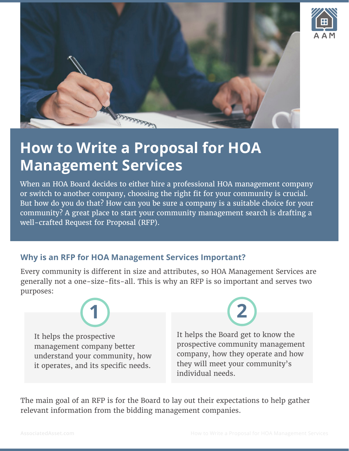



# **How to Write a Proposal for HOA Management Services**

When an HOA Board decides to either hire a professional HOA management company or switch to another company, choosing the right fit for your community is crucial. But how do you do that? How can you be sure a company is a suitable choice for your community? A great place to start your community management search is drafting a well-crafted Request for Proposal (RFP).

## **Why is an RFP for HOA Management Services Important?**

Every community is different in size and attributes, so HOA Management Services are generally not a one-size-fits-all. This is why an RFP is so important and serves two purposes:

It helps the prospective management company better understand your community, how it operates, and its specific needs.



It helps the Board get to know the prospective community management company, how they operate and how they will meet your community's individual needs.

The main goal of an RFP is for the Board to lay out their expectations to help gather relevant information from the bidding management companies.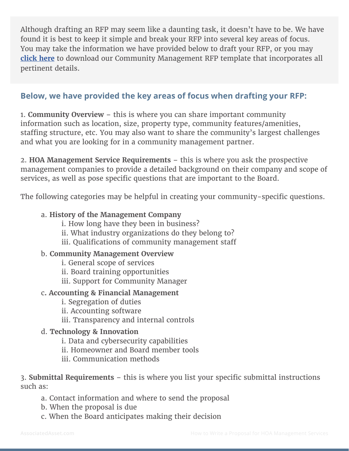Although drafting an RFP may seem like a daunting task, it doesn't have to be. We have found it is best to keep it simple and break your RFP into several key areas of focus. You may take the information we have provided below to draft your RFP, or you may **[click here](https://www.associatedasset.com/media/181292/Community_Management_RFP_Template.docx)** to download our Community Management RFP template that incorporates all pertinent details.

## **Below, we have provided the key areas of focus when drafting your RFP:**

1. **Community Overview** – this is where you can share important community information such as location, size, property type, community features/amenities, staffing structure, etc. You may also want to share the community's largest challenges and what you are looking for in a community management partner.

2. **HOA Management Service Requirements** – this is where you ask the prospective management companies to provide a detailed background on their company and scope of services, as well as pose specific questions that are important to the Board.

The following categories may be helpful in creating your community-specific questions.

#### a. **History of the Management Company**

- i. How long have they been in business?
- ii. What industry organizations do they belong to?
- iii. Qualifications of community management staff

#### b. **Community Management Overview**

- i. General scope of services
- ii. Board training opportunities
- iii. Support for Community Manager

#### c**. Accounting & Financial Management**

- i. Segregation of duties
- ii. Accounting software
- iii. Transparency and internal controls

#### d. **Technology & Innovation**

- i. Data and cybersecurity capabilities
- ii. Homeowner and Board member tools
- iii. Communication methods

3. **Submittal Requirements** – this is where you list your specific submittal instructions such as:

- a. Contact information and where to send the proposal
- b. When the proposal is due
- c. When the Board anticipates making their decision